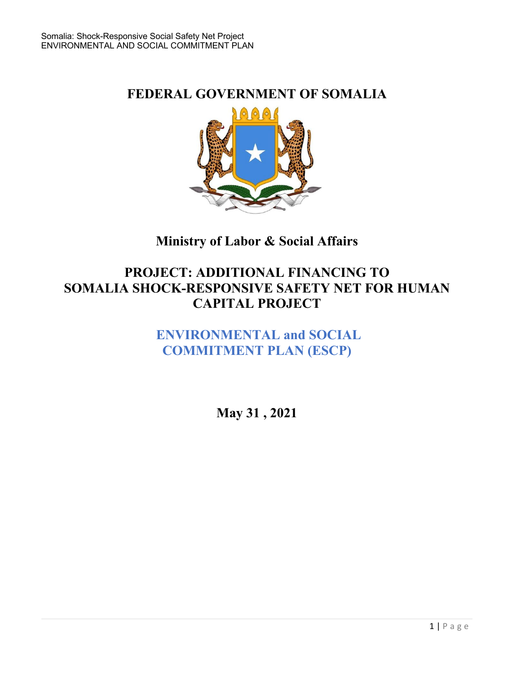### **FEDERAL GOVERNMENT OF SOMALIA**



# **Ministry of Labor & Social Affairs**

# **PROJECT: ADDITIONAL FINANCING TO SOMALIA SHOCK-RESPONSIVE SAFETY NET FOR HUMAN CAPITAL PROJECT**

## **ENVIRONMENTAL and SOCIAL COMMITMENT PLAN (ESCP)**

**May 31 , 2021**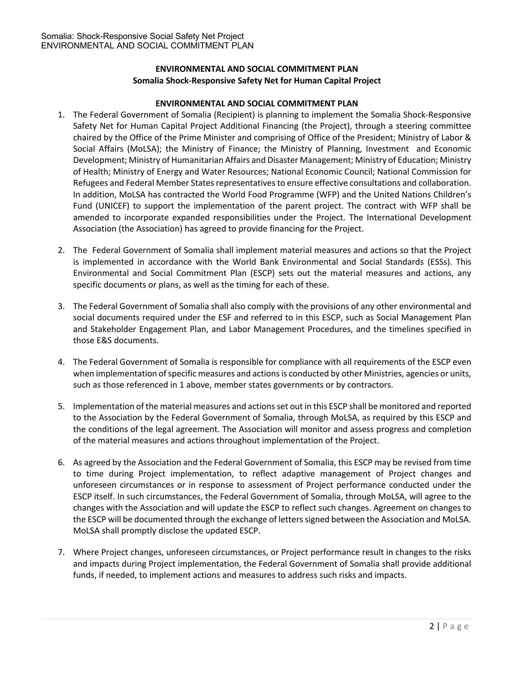#### **ENVIRONMENTAL AND SOCIAL COMMITMENT PLAN Somalia Shock-Responsive Safety Net for Human Capital Project**

#### **ENVIRONMENTAL AND SOCIAL COMMITMENT PLAN**

- 1. The Federal Government of Somalia (Recipient) is planning to implement the Somalia Shock-Responsive Safety Net for Human Capital Project Additional Financing (the Project), through a steering committee chaired by the Office of the Prime Minister and comprising of Office of the President; Ministry of Labor & Social Affairs (MoLSA); the Ministry of Finance; the Ministry of Planning, Investment and Economic Development; Ministry of Humanitarian Affairs and Disaster Management; Ministry of Education; Ministry of Health; Ministry of Energy and Water Resources; National Economic Council; National Commission for Refugees and Federal Member States representatives to ensure effective consultations and collaboration. In addition, MoLSA has contracted the World Food Programme (WFP) and the United Nations Children's Fund (UNICEF) to support the implementation of the parent project. The contract with WFP shall be amended to incorporate expanded responsibilities under the Project. The International Development Association (the Association) has agreed to provide financing for the Project.
- 2. The Federal Government of Somalia shall implement material measures and actions so that the Project is implemented in accordance with the World Bank Environmental and Social Standards (ESSs). This Environmental and Social Commitment Plan (ESCP) sets out the material measures and actions, any specific documents or plans, as well as the timing for each of these.
- 3. The Federal Government of Somalia shall also comply with the provisions of any other environmental and social documents required under the ESF and referred to in this ESCP, such as Social Management Plan and Stakeholder Engagement Plan, and Labor Management Procedures, and the timelines specified in those E&S documents.
- 4. The Federal Government of Somalia is responsible for compliance with all requirements of the ESCP even when implementation of specific measures and actions is conducted by other Ministries, agencies or units, such as those referenced in 1 above, member states governments or by contractors.
- 5. Implementation of the material measures and actions set out in this ESCP shall be monitored and reported to the Association by the Federal Government of Somalia, through MoLSA, as required by this ESCP and the conditions of the legal agreement. The Association will monitor and assess progress and completion of the material measures and actions throughout implementation of the Project.
- 6. As agreed by the Association and the Federal Government of Somalia, this ESCP may be revised from time to time during Project implementation, to reflect adaptive management of Project changes and unforeseen circumstances or in response to assessment of Project performance conducted under the ESCP itself. In such circumstances, the Federal Government of Somalia, through MoLSA, will agree to the changes with the Association and will update the ESCP to reflect such changes. Agreement on changes to the ESCP will be documented through the exchange of letters signed between the Association and MoLSA. MoLSA shall promptly disclose the updated ESCP.
- 7. Where Project changes, unforeseen circumstances, or Project performance result in changes to the risks and impacts during Project implementation, the Federal Government of Somalia shall provide additional funds, if needed, to implement actions and measures to address such risks and impacts.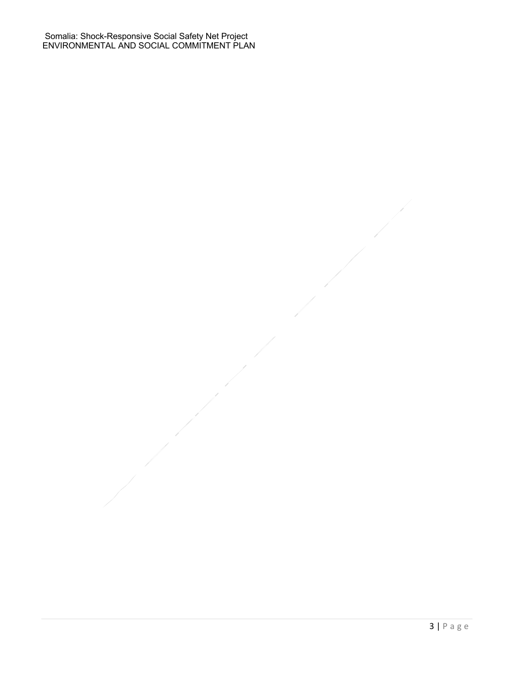Somalia: Shock-Responsive Social Safety Net Project ENVIRONMENTAL AND SOCIAL COMMITMENT PLAN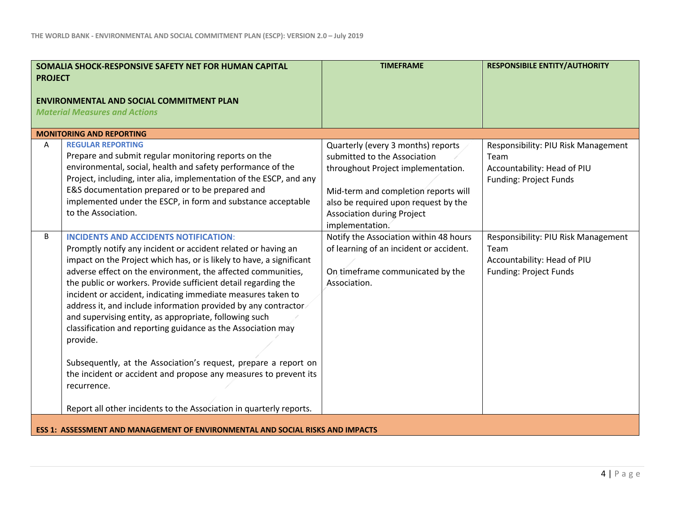| SOMALIA SHOCK-RESPONSIVE SAFETY NET FOR HUMAN CAPITAL<br><b>PROJECT</b>                 |                                                                                                                                                                                                                                                                                                                                                                                                                                                                                                                                                                                                                                                                                                                                                                                                                              | <b>TIMEFRAME</b>                                                                                                                                                                                                                                 | <b>RESPONSIBILE ENTITY/AUTHORITY</b>                                                                        |
|-----------------------------------------------------------------------------------------|------------------------------------------------------------------------------------------------------------------------------------------------------------------------------------------------------------------------------------------------------------------------------------------------------------------------------------------------------------------------------------------------------------------------------------------------------------------------------------------------------------------------------------------------------------------------------------------------------------------------------------------------------------------------------------------------------------------------------------------------------------------------------------------------------------------------------|--------------------------------------------------------------------------------------------------------------------------------------------------------------------------------------------------------------------------------------------------|-------------------------------------------------------------------------------------------------------------|
| <b>ENVIRONMENTAL AND SOCIAL COMMITMENT PLAN</b><br><b>Material Measures and Actions</b> |                                                                                                                                                                                                                                                                                                                                                                                                                                                                                                                                                                                                                                                                                                                                                                                                                              |                                                                                                                                                                                                                                                  |                                                                                                             |
|                                                                                         |                                                                                                                                                                                                                                                                                                                                                                                                                                                                                                                                                                                                                                                                                                                                                                                                                              |                                                                                                                                                                                                                                                  |                                                                                                             |
| A                                                                                       | <b>MONITORING AND REPORTING</b><br><b>REGULAR REPORTING</b>                                                                                                                                                                                                                                                                                                                                                                                                                                                                                                                                                                                                                                                                                                                                                                  |                                                                                                                                                                                                                                                  |                                                                                                             |
|                                                                                         | Prepare and submit regular monitoring reports on the<br>environmental, social, health and safety performance of the<br>Project, including, inter alia, implementation of the ESCP, and any<br>E&S documentation prepared or to be prepared and<br>implemented under the ESCP, in form and substance acceptable<br>to the Association.                                                                                                                                                                                                                                                                                                                                                                                                                                                                                        | Quarterly (every 3 months) reports<br>submitted to the Association<br>throughout Project implementation.<br>Mid-term and completion reports will<br>also be required upon request by the<br><b>Association during Project</b><br>implementation. | Responsibility: PIU Risk Management<br>Team<br>Accountability: Head of PIU<br><b>Funding: Project Funds</b> |
| B                                                                                       | <b>INCIDENTS AND ACCIDENTS NOTIFICATION:</b><br>Promptly notify any incident or accident related or having an<br>impact on the Project which has, or is likely to have, a significant<br>adverse effect on the environment, the affected communities,<br>the public or workers. Provide sufficient detail regarding the<br>incident or accident, indicating immediate measures taken to<br>address it, and include information provided by any contractor<br>and supervising entity, as appropriate, following such<br>classification and reporting guidance as the Association may<br>provide.<br>Subsequently, at the Association's request, prepare a report on<br>the incident or accident and propose any measures to prevent its<br>recurrence.<br>Report all other incidents to the Association in quarterly reports. | Notify the Association within 48 hours<br>of learning of an incident or accident.<br>On timeframe communicated by the<br>Association.                                                                                                            | Responsibility: PIU Risk Management<br>Team<br>Accountability: Head of PIU<br><b>Funding: Project Funds</b> |
|                                                                                         | ESS 1: ASSESSMENT AND MANAGEMENT OF ENVIRONMENTAL AND SOCIAL RISKS AND IMPACTS                                                                                                                                                                                                                                                                                                                                                                                                                                                                                                                                                                                                                                                                                                                                               |                                                                                                                                                                                                                                                  |                                                                                                             |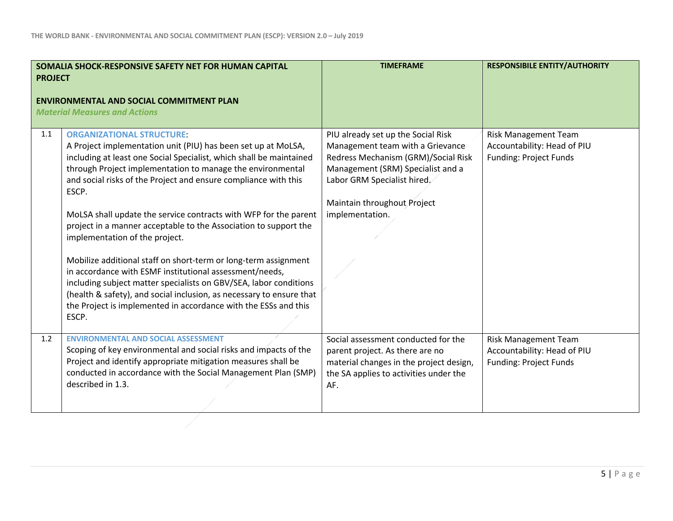| SOMALIA SHOCK-RESPONSIVE SAFETY NET FOR HUMAN CAPITAL<br><b>PROJECT</b> |                                                                                                                                                                                                                                                                                                                                                                                                                                                                                                                                                                                                                                                                                                                                                                                                                                                     | <b>TIMEFRAME</b>                                                                                                                                                                                                                    | <b>RESPONSIBILE ENTITY/AUTHORITY</b>                                                 |
|-------------------------------------------------------------------------|-----------------------------------------------------------------------------------------------------------------------------------------------------------------------------------------------------------------------------------------------------------------------------------------------------------------------------------------------------------------------------------------------------------------------------------------------------------------------------------------------------------------------------------------------------------------------------------------------------------------------------------------------------------------------------------------------------------------------------------------------------------------------------------------------------------------------------------------------------|-------------------------------------------------------------------------------------------------------------------------------------------------------------------------------------------------------------------------------------|--------------------------------------------------------------------------------------|
|                                                                         | <b>ENVIRONMENTAL AND SOCIAL COMMITMENT PLAN</b><br><b>Material Measures and Actions</b>                                                                                                                                                                                                                                                                                                                                                                                                                                                                                                                                                                                                                                                                                                                                                             |                                                                                                                                                                                                                                     |                                                                                      |
| 1.1                                                                     | <b>ORGANIZATIONAL STRUCTURE:</b><br>A Project implementation unit (PIU) has been set up at MoLSA,<br>including at least one Social Specialist, which shall be maintained<br>through Project implementation to manage the environmental<br>and social risks of the Project and ensure compliance with this<br>ESCP.<br>MoLSA shall update the service contracts with WFP for the parent<br>project in a manner acceptable to the Association to support the<br>implementation of the project.<br>Mobilize additional staff on short-term or long-term assignment<br>in accordance with ESMF institutional assessment/needs,<br>including subject matter specialists on GBV/SEA, labor conditions<br>(health & safety), and social inclusion, as necessary to ensure that<br>the Project is implemented in accordance with the ESSs and this<br>ESCP. | PIU already set up the Social Risk<br>Management team with a Grievance<br>Redress Mechanism (GRM)/Social Risk<br>Management (SRM) Specialist and a<br>Labor GRM Specialist hired,<br>Maintain throughout Project<br>implementation. | <b>Risk Management Team</b><br>Accountability: Head of PIU<br>Funding: Project Funds |
| 1.2                                                                     | <b>ENVIRONMENTAL AND SOCIAL ASSESSMENT</b><br>Scoping of key environmental and social risks and impacts of the<br>Project and identify appropriate mitigation measures shall be<br>conducted in accordance with the Social Management Plan (SMP)<br>described in 1.3.                                                                                                                                                                                                                                                                                                                                                                                                                                                                                                                                                                               | Social assessment conducted for the<br>parent project. As there are no<br>material changes in the project design,<br>the SA applies to activities under the<br>AF.                                                                  | <b>Risk Management Team</b><br>Accountability: Head of PIU<br>Funding: Project Funds |
|                                                                         |                                                                                                                                                                                                                                                                                                                                                                                                                                                                                                                                                                                                                                                                                                                                                                                                                                                     |                                                                                                                                                                                                                                     |                                                                                      |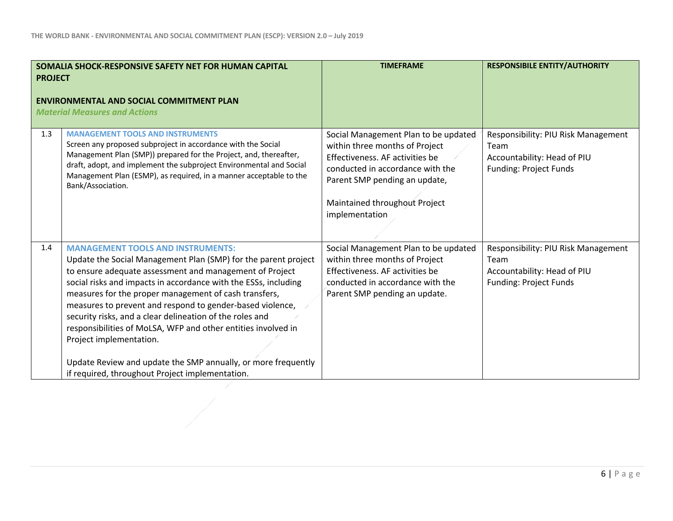| SOMALIA SHOCK-RESPONSIVE SAFETY NET FOR HUMAN CAPITAL<br><b>PROJECT</b>                 |                                                                                                                                                                                                                                                                                                                                                                                                                                                                                                                                                                                                                                            | <b>TIMEFRAME</b>                                                                                                                                                                                                                  | <b>RESPONSIBILE ENTITY/AUTHORITY</b>                                                                        |
|-----------------------------------------------------------------------------------------|--------------------------------------------------------------------------------------------------------------------------------------------------------------------------------------------------------------------------------------------------------------------------------------------------------------------------------------------------------------------------------------------------------------------------------------------------------------------------------------------------------------------------------------------------------------------------------------------------------------------------------------------|-----------------------------------------------------------------------------------------------------------------------------------------------------------------------------------------------------------------------------------|-------------------------------------------------------------------------------------------------------------|
| <b>ENVIRONMENTAL AND SOCIAL COMMITMENT PLAN</b><br><b>Material Measures and Actions</b> |                                                                                                                                                                                                                                                                                                                                                                                                                                                                                                                                                                                                                                            |                                                                                                                                                                                                                                   |                                                                                                             |
| 1.3                                                                                     | <b>MANAGEMENT TOOLS AND INSTRUMENTS</b><br>Screen any proposed subproject in accordance with the Social<br>Management Plan (SMP)) prepared for the Project, and, thereafter,<br>draft, adopt, and implement the subproject Environmental and Social<br>Management Plan (ESMP), as required, in a manner acceptable to the<br>Bank/Association.                                                                                                                                                                                                                                                                                             | Social Management Plan to be updated<br>within three months of Project<br>Effectiveness. AF activities be<br>conducted in accordance with the<br>Parent SMP pending an update,<br>Maintained throughout Project<br>implementation | Responsibility: PIU Risk Management<br>Team<br>Accountability: Head of PIU<br><b>Funding: Project Funds</b> |
| 1.4                                                                                     | <b>MANAGEMENT TOOLS AND INSTRUMENTS:</b><br>Update the Social Management Plan (SMP) for the parent project<br>to ensure adequate assessment and management of Project<br>social risks and impacts in accordance with the ESSs, including<br>measures for the proper management of cash transfers,<br>measures to prevent and respond to gender-based violence,<br>security risks, and a clear delineation of the roles and<br>responsibilities of MoLSA, WFP and other entities involved in<br>Project implementation.<br>Update Review and update the SMP annually, or more frequently<br>if required, throughout Project implementation. | Social Management Plan to be updated<br>within three months of Project<br>Effectiveness. AF activities be<br>conducted in accordance with the<br>Parent SMP pending an update.                                                    | Responsibility: PIU Risk Management<br>Team<br>Accountability: Head of PIU<br><b>Funding: Project Funds</b> |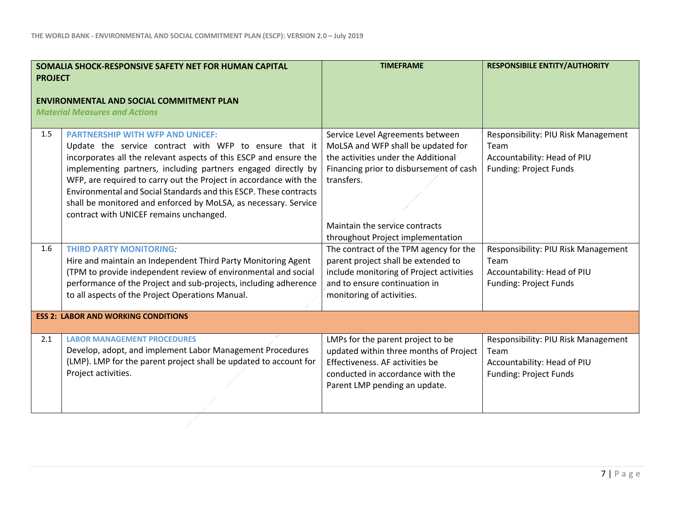| SOMALIA SHOCK-RESPONSIVE SAFETY NET FOR HUMAN CAPITAL<br><b>PROJECT</b> |                                                                                                                                                                                                                                                                                                                                                                                                                                                                                                 | <b>TIMEFRAME</b>                                                                                                                                                                                                                              | <b>RESPONSIBILE ENTITY/AUTHORITY</b>                                                                        |
|-------------------------------------------------------------------------|-------------------------------------------------------------------------------------------------------------------------------------------------------------------------------------------------------------------------------------------------------------------------------------------------------------------------------------------------------------------------------------------------------------------------------------------------------------------------------------------------|-----------------------------------------------------------------------------------------------------------------------------------------------------------------------------------------------------------------------------------------------|-------------------------------------------------------------------------------------------------------------|
|                                                                         | <b>ENVIRONMENTAL AND SOCIAL COMMITMENT PLAN</b><br><b>Material Measures and Actions</b>                                                                                                                                                                                                                                                                                                                                                                                                         |                                                                                                                                                                                                                                               |                                                                                                             |
| 1.5                                                                     | <b>PARTNERSHIP WITH WFP AND UNICEF:</b><br>Update the service contract with WFP to ensure that it<br>incorporates all the relevant aspects of this ESCP and ensure the<br>implementing partners, including partners engaged directly by<br>WFP, are required to carry out the Project in accordance with the<br>Environmental and Social Standards and this ESCP. These contracts<br>shall be monitored and enforced by MoLSA, as necessary. Service<br>contract with UNICEF remains unchanged. | Service Level Agreements between<br>MoLSA and WFP shall be updated for<br>the activities under the Additional<br>Financing prior to disbursement of cash<br>transfers.<br>Maintain the service contracts<br>throughout Project implementation | Responsibility: PIU Risk Management<br>Team<br>Accountability: Head of PIU<br>Funding: Project Funds        |
| 1.6                                                                     | <b>THIRD PARTY MONITORING.</b><br>Hire and maintain an Independent Third Party Monitoring Agent<br>(TPM to provide independent review of environmental and social<br>performance of the Project and sub-projects, including adherence<br>to all aspects of the Project Operations Manual.                                                                                                                                                                                                       | The contract of the TPM agency for the<br>parent project shall be extended to<br>include monitoring of Project activities<br>and to ensure continuation in<br>monitoring of activities.                                                       | Responsibility: PIU Risk Management<br>Team<br>Accountability: Head of PIU<br>Funding: Project Funds        |
|                                                                         | <b>ESS 2: LABOR AND WORKING CONDITIONS</b>                                                                                                                                                                                                                                                                                                                                                                                                                                                      |                                                                                                                                                                                                                                               |                                                                                                             |
| 2.1                                                                     | <b>LABOR MANAGEMENT PROCEDURES</b><br>Develop, adopt, and implement Labor Management Procedures<br>(LMP). LMP for the parent project shall be updated to account for<br>Project activities.                                                                                                                                                                                                                                                                                                     | LMPs for the parent project to be<br>updated within three months of Project<br>Effectiveness. AF activities be<br>conducted in accordance with the<br>Parent LMP pending an update.                                                           | Responsibility: PIU Risk Management<br>Team<br>Accountability: Head of PIU<br><b>Funding: Project Funds</b> |
|                                                                         |                                                                                                                                                                                                                                                                                                                                                                                                                                                                                                 |                                                                                                                                                                                                                                               |                                                                                                             |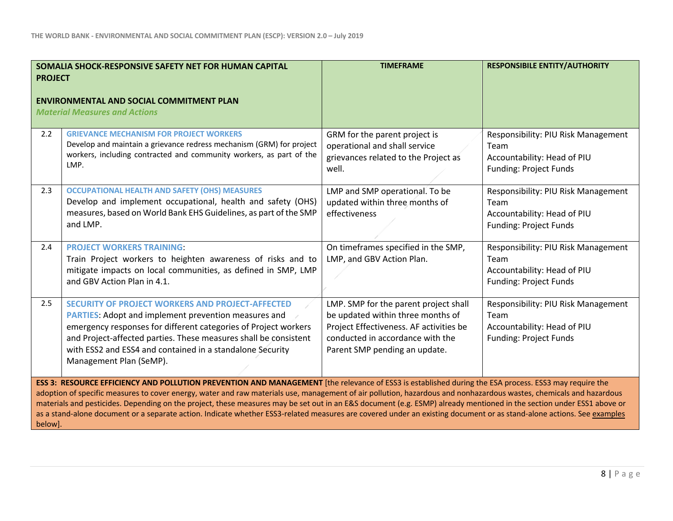| SOMALIA SHOCK-RESPONSIVE SAFETY NET FOR HUMAN CAPITAL<br><b>PROJECT</b>                                                                                                                                                                                                                                                                                                                                                                                                                                                                                                                                                                                                                   |                                                                                                                                                                                                                                                                                                                                                       | <b>TIMEFRAME</b>                                                                                                                                                                           | <b>RESPONSIBILE ENTITY/AUTHORITY</b>                                                                        |
|-------------------------------------------------------------------------------------------------------------------------------------------------------------------------------------------------------------------------------------------------------------------------------------------------------------------------------------------------------------------------------------------------------------------------------------------------------------------------------------------------------------------------------------------------------------------------------------------------------------------------------------------------------------------------------------------|-------------------------------------------------------------------------------------------------------------------------------------------------------------------------------------------------------------------------------------------------------------------------------------------------------------------------------------------------------|--------------------------------------------------------------------------------------------------------------------------------------------------------------------------------------------|-------------------------------------------------------------------------------------------------------------|
|                                                                                                                                                                                                                                                                                                                                                                                                                                                                                                                                                                                                                                                                                           | <b>ENVIRONMENTAL AND SOCIAL COMMITMENT PLAN</b><br><b>Material Measures and Actions</b>                                                                                                                                                                                                                                                               |                                                                                                                                                                                            |                                                                                                             |
| 2.2                                                                                                                                                                                                                                                                                                                                                                                                                                                                                                                                                                                                                                                                                       | <b>GRIEVANCE MECHANISM FOR PROJECT WORKERS</b><br>Develop and maintain a grievance redress mechanism (GRM) for project<br>workers, including contracted and community workers, as part of the<br>LMP.                                                                                                                                                 | GRM for the parent project is<br>operational and shall service<br>grievances related to the Project as<br>well.                                                                            | Responsibility: PIU Risk Management<br>Team<br>Accountability: Head of PIU<br><b>Funding: Project Funds</b> |
| 2.3                                                                                                                                                                                                                                                                                                                                                                                                                                                                                                                                                                                                                                                                                       | <b>OCCUPATIONAL HEALTH AND SAFETY (OHS) MEASURES</b><br>Develop and implement occupational, health and safety (OHS)<br>measures, based on World Bank EHS Guidelines, as part of the SMP<br>and LMP.                                                                                                                                                   | LMP and SMP operational. To be<br>updated within three months of<br>effectiveness                                                                                                          | Responsibility: PIU Risk Management<br>Team<br>Accountability: Head of PIU<br><b>Funding: Project Funds</b> |
| 2.4                                                                                                                                                                                                                                                                                                                                                                                                                                                                                                                                                                                                                                                                                       | <b>PROJECT WORKERS TRAINING:</b><br>Train Project workers to heighten awareness of risks and to<br>mitigate impacts on local communities, as defined in SMP, LMP<br>and GBV Action Plan in 4.1.                                                                                                                                                       | On timeframes specified in the SMP,<br>LMP, and GBV Action Plan.                                                                                                                           | Responsibility: PIU Risk Management<br>Team<br>Accountability: Head of PIU<br><b>Funding: Project Funds</b> |
| 2.5                                                                                                                                                                                                                                                                                                                                                                                                                                                                                                                                                                                                                                                                                       | <b>SECURITY OF PROJECT WORKERS AND PROJECT-AFFECTED</b><br><b>PARTIES:</b> Adopt and implement prevention measures and<br>emergency responses for different categories of Project workers<br>and Project-affected parties. These measures shall be consistent<br>with ESS2 and ESS4 and contained in a standalone Security<br>Management Plan (SeMP). | LMP. SMP for the parent project shall<br>be updated within three months of<br>Project Effectiveness. AF activities be<br>conducted in accordance with the<br>Parent SMP pending an update. | Responsibility: PIU Risk Management<br>Team<br>Accountability: Head of PIU<br><b>Funding: Project Funds</b> |
| ESS 3: RESOURCE EFFICIENCY AND POLLUTION PREVENTION AND MANAGEMENT [the relevance of ESS3 is established during the ESA process. ESS3 may require the<br>adoption of specific measures to cover energy, water and raw materials use, management of air pollution, hazardous and nonhazardous wastes, chemicals and hazardous<br>materials and pesticides. Depending on the project, these measures may be set out in an E&S document (e.g. ESMP) already mentioned in the section under ESS1 above or<br>as a stand-alone document or a separate action. Indicate whether ESS3-related measures are covered under an existing document or as stand-alone actions. See examples<br>below]. |                                                                                                                                                                                                                                                                                                                                                       |                                                                                                                                                                                            |                                                                                                             |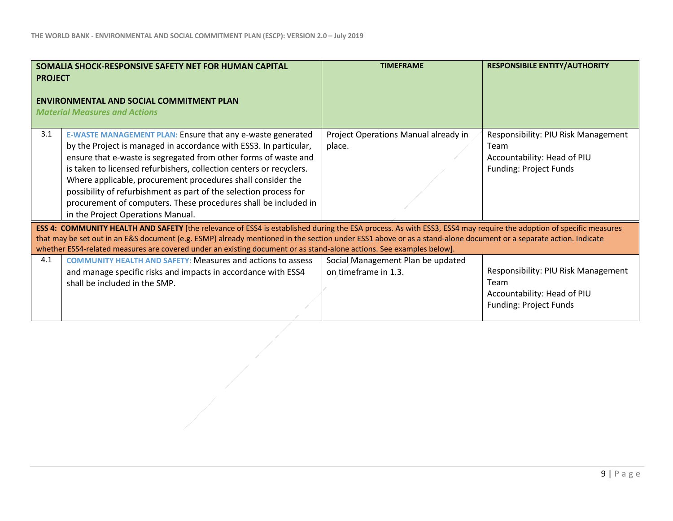| <b>PROJECT</b> | SOMALIA SHOCK-RESPONSIVE SAFETY NET FOR HUMAN CAPITAL                                                                                                                                                                                                                                                                                                                                                                                                                                                                 | <b>TIMEFRAME</b>                                          | <b>RESPONSIBILE ENTITY/AUTHORITY</b>                                                                        |
|----------------|-----------------------------------------------------------------------------------------------------------------------------------------------------------------------------------------------------------------------------------------------------------------------------------------------------------------------------------------------------------------------------------------------------------------------------------------------------------------------------------------------------------------------|-----------------------------------------------------------|-------------------------------------------------------------------------------------------------------------|
|                | <b>ENVIRONMENTAL AND SOCIAL COMMITMENT PLAN</b>                                                                                                                                                                                                                                                                                                                                                                                                                                                                       |                                                           |                                                                                                             |
|                | <b>Material Measures and Actions</b>                                                                                                                                                                                                                                                                                                                                                                                                                                                                                  |                                                           |                                                                                                             |
| 3.1            | E-WASTE MANAGEMENT PLAN: Ensure that any e-waste generated<br>by the Project is managed in accordance with ESS3. In particular,<br>ensure that e-waste is segregated from other forms of waste and<br>is taken to licensed refurbishers, collection centers or recyclers.<br>Where applicable, procurement procedures shall consider the<br>possibility of refurbishment as part of the selection process for<br>procurement of computers. These procedures shall be included in<br>in the Project Operations Manual. | Project Operations Manual already in<br>place.            | Responsibility: PIU Risk Management<br>Team<br>Accountability: Head of PIU<br><b>Funding: Project Funds</b> |
|                | ESS 4: COMMUNITY HEALTH AND SAFETY [the relevance of ESS4 is established during the ESA process. As with ESS3, ESS4 may require the adoption of specific measures<br>that may be set out in an E&S document (e.g. ESMP) already mentioned in the section under ESS1 above or as a stand-alone document or a separate action. Indicate<br>whether ESS4-related measures are covered under an existing document or as stand-alone actions. See examples below].                                                         |                                                           |                                                                                                             |
| 4.1            | <b>COMMUNITY HEALTH AND SAFETY: Measures and actions to assess</b><br>and manage specific risks and impacts in accordance with ESS4<br>shall be included in the SMP.                                                                                                                                                                                                                                                                                                                                                  | Social Management Plan be updated<br>on timeframe in 1.3. | Responsibility: PIU Risk Management<br>Team<br>Accountability: Head of PIU<br><b>Funding: Project Funds</b> |
|                |                                                                                                                                                                                                                                                                                                                                                                                                                                                                                                                       |                                                           |                                                                                                             |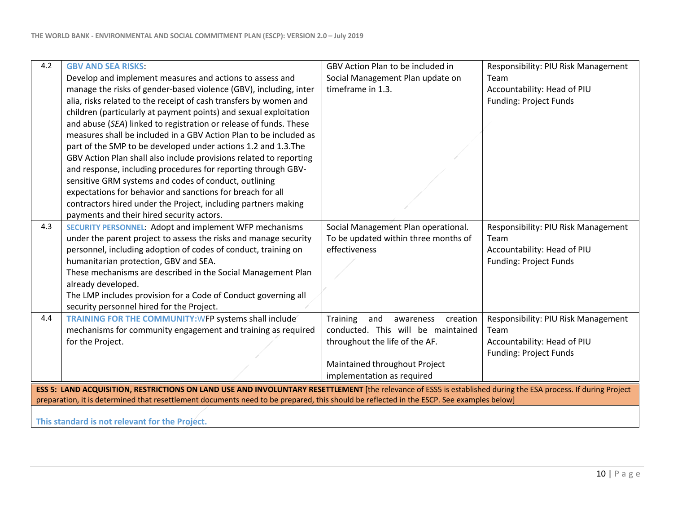| 4.2                                                                                                                                                            | <b>GBV AND SEA RISKS:</b>                                          | GBV Action Plan to be included in               | Responsibility: PIU Risk Management |
|----------------------------------------------------------------------------------------------------------------------------------------------------------------|--------------------------------------------------------------------|-------------------------------------------------|-------------------------------------|
|                                                                                                                                                                | Develop and implement measures and actions to assess and           | Social Management Plan update on                | Team                                |
|                                                                                                                                                                | manage the risks of gender-based violence (GBV), including, inter  | timeframe in 1.3.                               | Accountability: Head of PIU         |
|                                                                                                                                                                | alia, risks related to the receipt of cash transfers by women and  |                                                 | <b>Funding: Project Funds</b>       |
|                                                                                                                                                                | children (particularly at payment points) and sexual exploitation  |                                                 |                                     |
|                                                                                                                                                                | and abuse (SEA) linked to registration or release of funds. These  |                                                 |                                     |
|                                                                                                                                                                | measures shall be included in a GBV Action Plan to be included as  |                                                 |                                     |
|                                                                                                                                                                | part of the SMP to be developed under actions 1.2 and 1.3. The     |                                                 |                                     |
|                                                                                                                                                                | GBV Action Plan shall also include provisions related to reporting |                                                 |                                     |
|                                                                                                                                                                | and response, including procedures for reporting through GBV-      |                                                 |                                     |
|                                                                                                                                                                | sensitive GRM systems and codes of conduct, outlining              |                                                 |                                     |
|                                                                                                                                                                | expectations for behavior and sanctions for breach for all         |                                                 |                                     |
|                                                                                                                                                                | contractors hired under the Project, including partners making     |                                                 |                                     |
|                                                                                                                                                                | payments and their hired security actors.                          |                                                 |                                     |
| 4.3                                                                                                                                                            | <b>SECURITY PERSONNEL:</b> Adopt and implement WFP mechanisms      | Social Management Plan operational.             | Responsibility: PIU Risk Management |
|                                                                                                                                                                | under the parent project to assess the risks and manage security   | To be updated within three months of            | Team                                |
|                                                                                                                                                                | personnel, including adoption of codes of conduct, training on     | effectiveness                                   | Accountability: Head of PIU         |
|                                                                                                                                                                | humanitarian protection, GBV and SEA.                              |                                                 | Funding: Project Funds              |
|                                                                                                                                                                | These mechanisms are described in the Social Management Plan       |                                                 |                                     |
|                                                                                                                                                                | already developed.                                                 |                                                 |                                     |
|                                                                                                                                                                | The LMP includes provision for a Code of Conduct governing all     |                                                 |                                     |
|                                                                                                                                                                | security personnel hired for the Project.                          |                                                 |                                     |
| 4.4                                                                                                                                                            | TRAINING FOR THE COMMUNITY: WFP systems shall include              | <b>Training</b><br>and<br>creation<br>awareness | Responsibility: PIU Risk Management |
|                                                                                                                                                                | mechanisms for community engagement and training as required       | conducted. This will be maintained              | Team                                |
|                                                                                                                                                                | for the Project.                                                   | throughout the life of the AF.                  | Accountability: Head of PIU         |
|                                                                                                                                                                |                                                                    |                                                 | <b>Funding: Project Funds</b>       |
|                                                                                                                                                                |                                                                    | Maintained throughout Project                   |                                     |
|                                                                                                                                                                |                                                                    | implementation as required                      |                                     |
| ESS 5: LAND ACQUISITION, RESTRICTIONS ON LAND USE AND INVOLUNTARY RESETTLEMENT [the relevance of ESS5 is established during the ESA process. If during Project |                                                                    |                                                 |                                     |
| preparation, it is determined that resettlement documents need to be prepared, this should be reflected in the ESCP. See examples below]                       |                                                                    |                                                 |                                     |
|                                                                                                                                                                |                                                                    |                                                 |                                     |
| This standard is not relevant for the Project.                                                                                                                 |                                                                    |                                                 |                                     |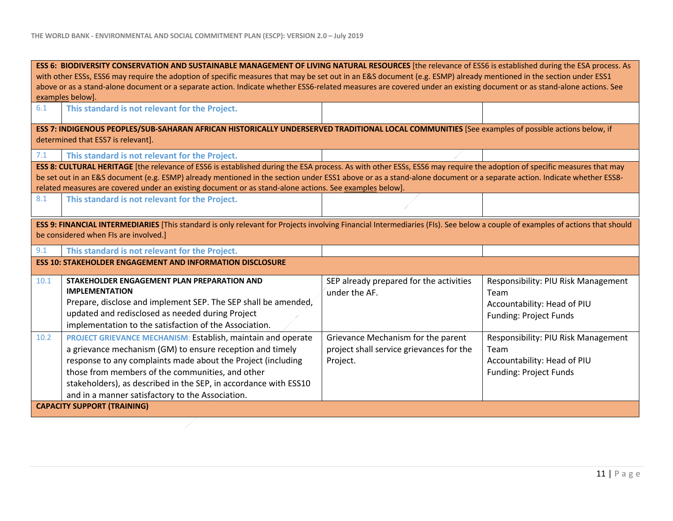| ESS 6: BIODIVERSITY CONSERVATION AND SUSTAINABLE MANAGEMENT OF LIVING NATURAL RESOURCES [the relevance of ESS6 is established during the ESA process. As<br>with other ESSs, ESS6 may require the adoption of specific measures that may be set out in an E&S document (e.g. ESMP) already mentioned in the section under ESS1<br>above or as a stand-alone document or a separate action. Indicate whether ESS6-related measures are covered under an existing document or as stand-alone actions. See<br>examples below]. |                                                                                                                                                                                                                                                                                                                                                                                                                    |                                                                                            |                                                                                                             |  |
|-----------------------------------------------------------------------------------------------------------------------------------------------------------------------------------------------------------------------------------------------------------------------------------------------------------------------------------------------------------------------------------------------------------------------------------------------------------------------------------------------------------------------------|--------------------------------------------------------------------------------------------------------------------------------------------------------------------------------------------------------------------------------------------------------------------------------------------------------------------------------------------------------------------------------------------------------------------|--------------------------------------------------------------------------------------------|-------------------------------------------------------------------------------------------------------------|--|
| 6.1                                                                                                                                                                                                                                                                                                                                                                                                                                                                                                                         | This standard is not relevant for the Project.                                                                                                                                                                                                                                                                                                                                                                     |                                                                                            |                                                                                                             |  |
|                                                                                                                                                                                                                                                                                                                                                                                                                                                                                                                             | ESS 7: INDIGENOUS PEOPLES/SUB-SAHARAN AFRICAN HISTORICALLY UNDERSERVED TRADITIONAL LOCAL COMMUNITIES [See examples of possible actions below, if<br>determined that ESS7 is relevant].                                                                                                                                                                                                                             |                                                                                            |                                                                                                             |  |
| 7.1                                                                                                                                                                                                                                                                                                                                                                                                                                                                                                                         | This standard is not relevant for the Project.                                                                                                                                                                                                                                                                                                                                                                     |                                                                                            |                                                                                                             |  |
|                                                                                                                                                                                                                                                                                                                                                                                                                                                                                                                             | ESS 8: CULTURAL HERITAGE [the relevance of ESS6 is established during the ESA process. As with other ESSs, ESS6 may require the adoption of specific measures that may                                                                                                                                                                                                                                             |                                                                                            |                                                                                                             |  |
|                                                                                                                                                                                                                                                                                                                                                                                                                                                                                                                             | be set out in an E&S document (e.g. ESMP) already mentioned in the section under ESS1 above or as a stand-alone document or a separate action. Indicate whether ESS8-                                                                                                                                                                                                                                              |                                                                                            |                                                                                                             |  |
|                                                                                                                                                                                                                                                                                                                                                                                                                                                                                                                             | related measures are covered under an existing document or as stand-alone actions. See examples below].                                                                                                                                                                                                                                                                                                            |                                                                                            |                                                                                                             |  |
| 8.1                                                                                                                                                                                                                                                                                                                                                                                                                                                                                                                         | This standard is not relevant for the Project.                                                                                                                                                                                                                                                                                                                                                                     |                                                                                            |                                                                                                             |  |
|                                                                                                                                                                                                                                                                                                                                                                                                                                                                                                                             |                                                                                                                                                                                                                                                                                                                                                                                                                    |                                                                                            |                                                                                                             |  |
| ESS 9: FINANCIAL INTERMEDIARIES [This standard is only relevant for Projects involving Financial Intermediaries (FIs). See below a couple of examples of actions that should<br>be considered when FIs are involved.]                                                                                                                                                                                                                                                                                                       |                                                                                                                                                                                                                                                                                                                                                                                                                    |                                                                                            |                                                                                                             |  |
| 9.1                                                                                                                                                                                                                                                                                                                                                                                                                                                                                                                         | This standard is not relevant for the Project.                                                                                                                                                                                                                                                                                                                                                                     |                                                                                            |                                                                                                             |  |
|                                                                                                                                                                                                                                                                                                                                                                                                                                                                                                                             | <b>ESS 10: STAKEHOLDER ENGAGEMENT AND INFORMATION DISCLOSURE</b>                                                                                                                                                                                                                                                                                                                                                   |                                                                                            |                                                                                                             |  |
| 10.1                                                                                                                                                                                                                                                                                                                                                                                                                                                                                                                        | STAKEHOLDER ENGAGEMENT PLAN PREPARATION AND<br><b>IMPLEMENTATION</b><br>Prepare, disclose and implement SEP. The SEP shall be amended,<br>updated and redisclosed as needed during Project<br>implementation to the satisfaction of the Association.                                                                                                                                                               | SEP already prepared for the activities<br>under the AF.                                   | Responsibility: PIU Risk Management<br>Team<br>Accountability: Head of PIU<br><b>Funding: Project Funds</b> |  |
| 10.2                                                                                                                                                                                                                                                                                                                                                                                                                                                                                                                        | <b>PROJECT GRIEVANCE MECHANISM: Establish, maintain and operate</b><br>a grievance mechanism (GM) to ensure reception and timely<br>response to any complaints made about the Project (including<br>those from members of the communities, and other<br>stakeholders), as described in the SEP, in accordance with ESS10<br>and in a manner satisfactory to the Association.<br><b>CAPACITY SUPPORT (TRAINING)</b> | Grievance Mechanism for the parent<br>project shall service grievances for the<br>Project. | Responsibility: PIU Risk Management<br>Team<br>Accountability: Head of PIU<br><b>Funding: Project Funds</b> |  |
|                                                                                                                                                                                                                                                                                                                                                                                                                                                                                                                             |                                                                                                                                                                                                                                                                                                                                                                                                                    |                                                                                            |                                                                                                             |  |